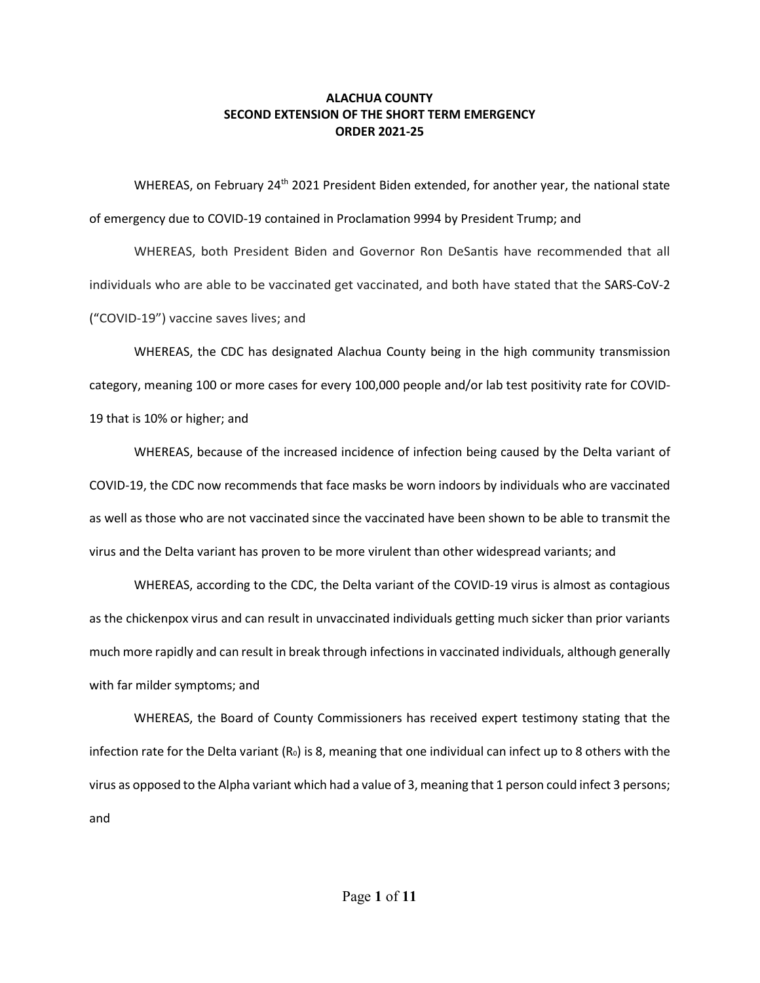WHEREAS, on February 24<sup>th</sup> 2021 President Biden extended, for another year, the national state of emergency due to COVID-19 contained in Proclamation 9994 by President Trump; and

WHEREAS, both President Biden and Governor Ron DeSantis have recommended that all individuals who are able to be vaccinated get vaccinated, and both have stated that the SARS-CoV-2 ("COVID-19") vaccine saves lives; and

WHEREAS, the CDC has designated Alachua County being in the high community transmission category, meaning 100 or more cases for every 100,000 people and/or lab test positivity rate for COVID-19 that is 10% or higher; and

WHEREAS, because of the increased incidence of infection being caused by the Delta variant of COVID-19, the CDC now recommends that face masks be worn indoors by individuals who are vaccinated as well as those who are not vaccinated since the vaccinated have been shown to be able to transmit the virus and the Delta variant has proven to be more virulent than other widespread variants; and

WHEREAS, according to the CDC, the Delta variant of the COVID-19 virus is almost as contagious as the chickenpox virus and can result in unvaccinated individuals getting much sicker than prior variants much more rapidly and can result in break through infections in vaccinated individuals, although generally with far milder symptoms; and

WHEREAS, the Board of County Commissioners has received expert testimony stating that the infection rate for the Delta variant  $(R_0)$  is 8, meaning that one individual can infect up to 8 others with the virus as opposed to the Alpha variant which had a value of 3, meaning that 1 person could infect 3 persons; and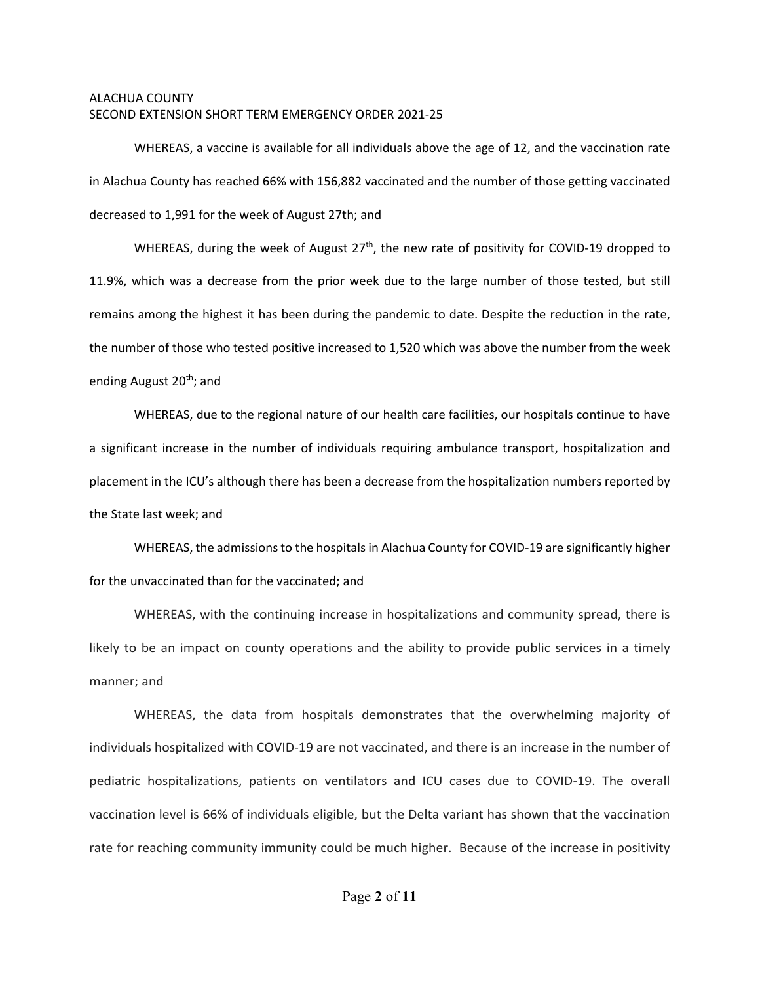WHEREAS, a vaccine is available for all individuals above the age of 12, and the vaccination rate in Alachua County has reached 66% with 156,882 vaccinated and the number of those getting vaccinated decreased to 1,991 for the week of August 27th; and

WHEREAS, during the week of August  $27<sup>th</sup>$ , the new rate of positivity for COVID-19 dropped to 11.9%, which was a decrease from the prior week due to the large number of those tested, but still remains among the highest it has been during the pandemic to date. Despite the reduction in the rate, the number of those who tested positive increased to 1,520 which was above the number from the week ending August 20<sup>th</sup>; and

WHEREAS, due to the regional nature of our health care facilities, our hospitals continue to have a significant increase in the number of individuals requiring ambulance transport, hospitalization and placement in the ICU's although there has been a decrease from the hospitalization numbers reported by the State last week; and

WHEREAS, the admissions to the hospitals in Alachua County for COVID-19 are significantly higher for the unvaccinated than for the vaccinated; and

WHEREAS, with the continuing increase in hospitalizations and community spread, there is likely to be an impact on county operations and the ability to provide public services in a timely manner; and

WHEREAS, the data from hospitals demonstrates that the overwhelming majority of individuals hospitalized with COVID-19 are not vaccinated, and there is an increase in the number of pediatric hospitalizations, patients on ventilators and ICU cases due to COVID-19. The overall vaccination level is 66% of individuals eligible, but the Delta variant has shown that the vaccination rate for reaching community immunity could be much higher. Because of the increase in positivity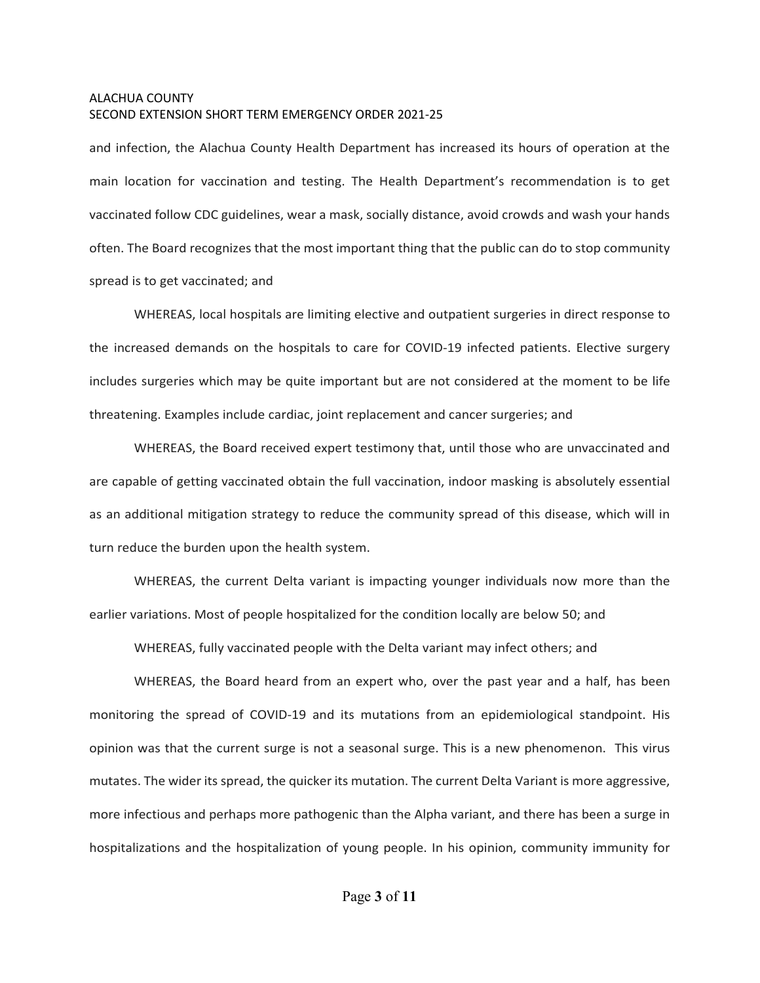and infection, the Alachua County Health Department has increased its hours of operation at the main location for vaccination and testing. The Health Department's recommendation is to get vaccinated follow CDC guidelines, wear a mask, socially distance, avoid crowds and wash your hands often. The Board recognizes that the most important thing that the public can do to stop community spread is to get vaccinated; and

WHEREAS, local hospitals are limiting elective and outpatient surgeries in direct response to the increased demands on the hospitals to care for COVID-19 infected patients. Elective surgery includes surgeries which may be quite important but are not considered at the moment to be life threatening. Examples include cardiac, joint replacement and cancer surgeries; and

WHEREAS, the Board received expert testimony that, until those who are unvaccinated and are capable of getting vaccinated obtain the full vaccination, indoor masking is absolutely essential as an additional mitigation strategy to reduce the community spread of this disease, which will in turn reduce the burden upon the health system.

WHEREAS, the current Delta variant is impacting younger individuals now more than the earlier variations. Most of people hospitalized for the condition locally are below 50; and

WHEREAS, fully vaccinated people with the Delta variant may infect others; and

WHEREAS, the Board heard from an expert who, over the past year and a half, has been monitoring the spread of COVID-19 and its mutations from an epidemiological standpoint. His opinion was that the current surge is not a seasonal surge. This is a new phenomenon. This virus mutates. The wider its spread, the quicker its mutation. The current Delta Variant is more aggressive, more infectious and perhaps more pathogenic than the Alpha variant, and there has been a surge in hospitalizations and the hospitalization of young people. In his opinion, community immunity for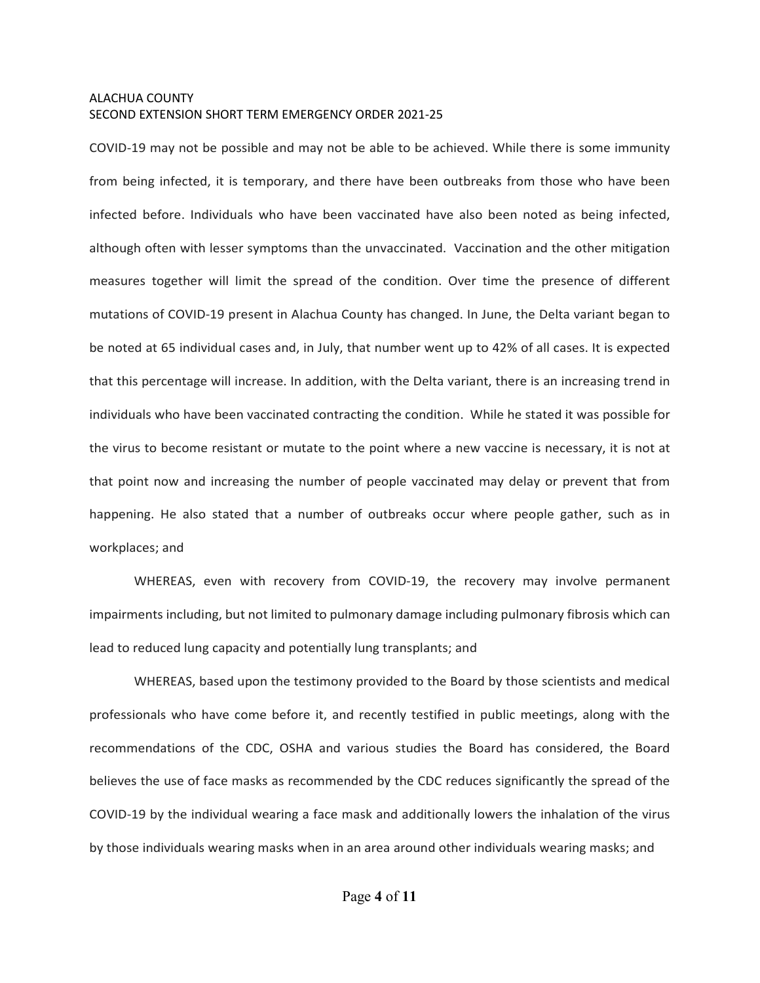COVID-19 may not be possible and may not be able to be achieved. While there is some immunity from being infected, it is temporary, and there have been outbreaks from those who have been infected before. Individuals who have been vaccinated have also been noted as being infected, although often with lesser symptoms than the unvaccinated. Vaccination and the other mitigation measures together will limit the spread of the condition. Over time the presence of different mutations of COVID-19 present in Alachua County has changed. In June, the Delta variant began to be noted at 65 individual cases and, in July, that number went up to 42% of all cases. It is expected that this percentage will increase. In addition, with the Delta variant, there is an increasing trend in individuals who have been vaccinated contracting the condition. While he stated it was possible for the virus to become resistant or mutate to the point where a new vaccine is necessary, it is not at that point now and increasing the number of people vaccinated may delay or prevent that from happening. He also stated that a number of outbreaks occur where people gather, such as in workplaces; and

WHEREAS, even with recovery from COVID-19, the recovery may involve permanent impairments including, but not limited to pulmonary damage including pulmonary fibrosis which can lead to reduced lung capacity and potentially lung transplants; and

WHEREAS, based upon the testimony provided to the Board by those scientists and medical professionals who have come before it, and recently testified in public meetings, along with the recommendations of the CDC, OSHA and various studies the Board has considered, the Board believes the use of face masks as recommended by the CDC reduces significantly the spread of the COVID-19 by the individual wearing a face mask and additionally lowers the inhalation of the virus by those individuals wearing masks when in an area around other individuals wearing masks; and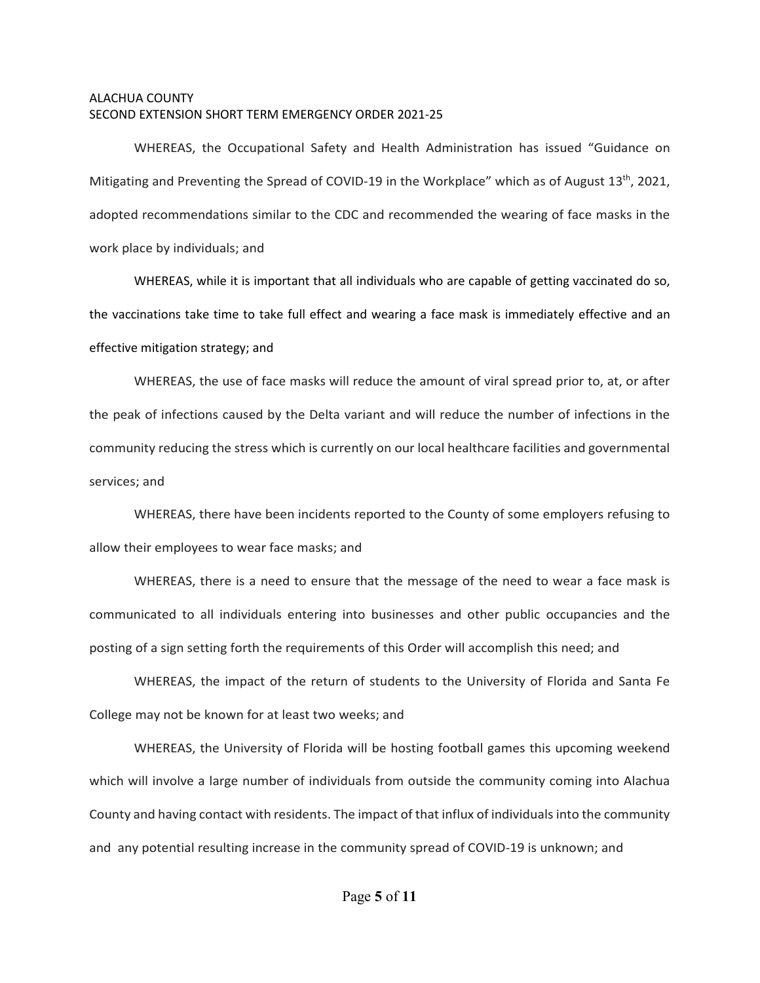WHEREAS, the Occupational Safety and Health Administration has issued "Guidance on Mitigating and Preventing the Spread of COVID-19 in the Workplace" which as of August  $13<sup>th</sup>$ , 2021, adopted recommendations similar to the CDC and recommended the wearing of face masks in the work place by individuals; and

WHEREAS, while it is important that all individuals who are capable of getting vaccinated do so, the vaccinations take time to take full effect and wearing a face mask is immediately effective and an effective mitigation strategy; and

WHEREAS, the use of face masks will reduce the amount of viral spread prior to, at, or after the peak of infections caused by the Delta variant and will reduce the number of infections in the community reducing the stress which is currently on our local healthcare facilities and governmental services; and

WHEREAS, there have been incidents reported to the County of some employers refusing to allow their employees to wear face masks; and

WHEREAS, there is a need to ensure that the message of the need to wear a face mask is communicated to all individuals entering into businesses and other public occupancies and the posting of a sign setting forth the requirements of this Order will accomplish this need; and

WHEREAS, the impact of the return of students to the University of Florida and Santa Fe College may not be known for at least two weeks; and

WHEREAS, the University of Florida will be hosting football games this upcoming weekend which will involve a large number of individuals from outside the community coming into Alachua County and having contact with residents. The impact of that influx of individuals into the community and any potential resulting increase in the community spread of COVID-19 is unknown; and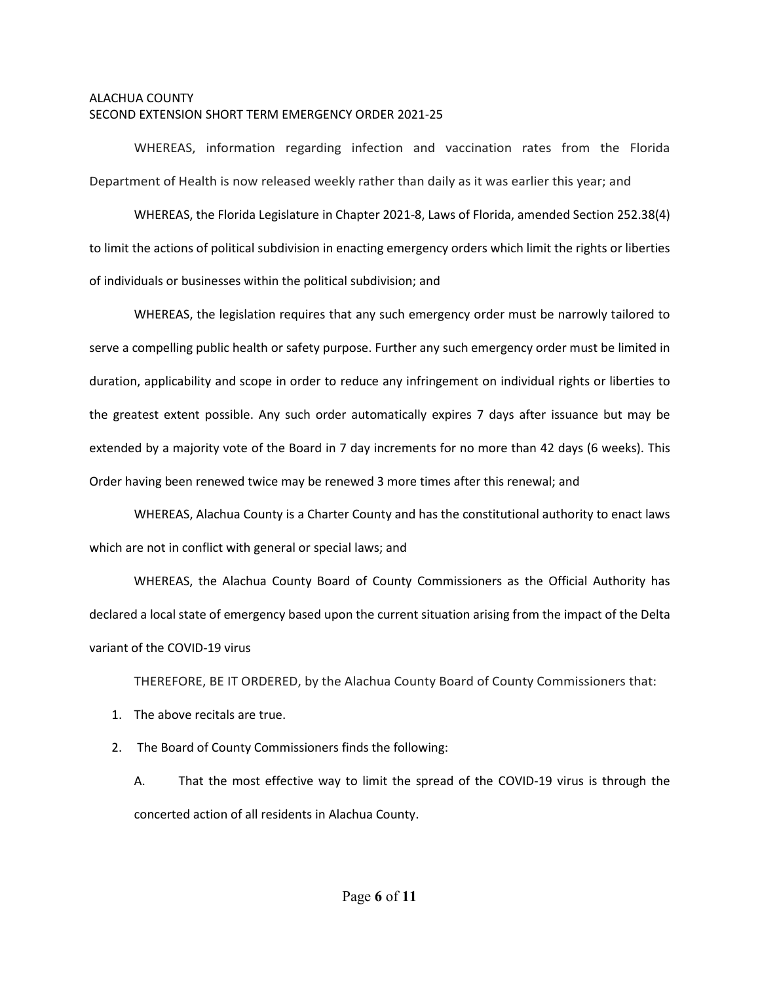WHEREAS, information regarding infection and vaccination rates from the Florida Department of Health is now released weekly rather than daily as it was earlier this year; and

WHEREAS, the Florida Legislature in Chapter 2021-8, Laws of Florida, amended Section 252.38(4) to limit the actions of political subdivision in enacting emergency orders which limit the rights or liberties of individuals or businesses within the political subdivision; and

WHEREAS, the legislation requires that any such emergency order must be narrowly tailored to serve a compelling public health or safety purpose. Further any such emergency order must be limited in duration, applicability and scope in order to reduce any infringement on individual rights or liberties to the greatest extent possible. Any such order automatically expires 7 days after issuance but may be extended by a majority vote of the Board in 7 day increments for no more than 42 days (6 weeks). This Order having been renewed twice may be renewed 3 more times after this renewal; and

WHEREAS, Alachua County is a Charter County and has the constitutional authority to enact laws which are not in conflict with general or special laws; and

WHEREAS, the Alachua County Board of County Commissioners as the Official Authority has declared a local state of emergency based upon the current situation arising from the impact of the Delta variant of the COVID-19 virus

THEREFORE, BE IT ORDERED, by the Alachua County Board of County Commissioners that:

1. The above recitals are true.

2. The Board of County Commissioners finds the following:

A. That the most effective way to limit the spread of the COVID-19 virus is through the concerted action of all residents in Alachua County.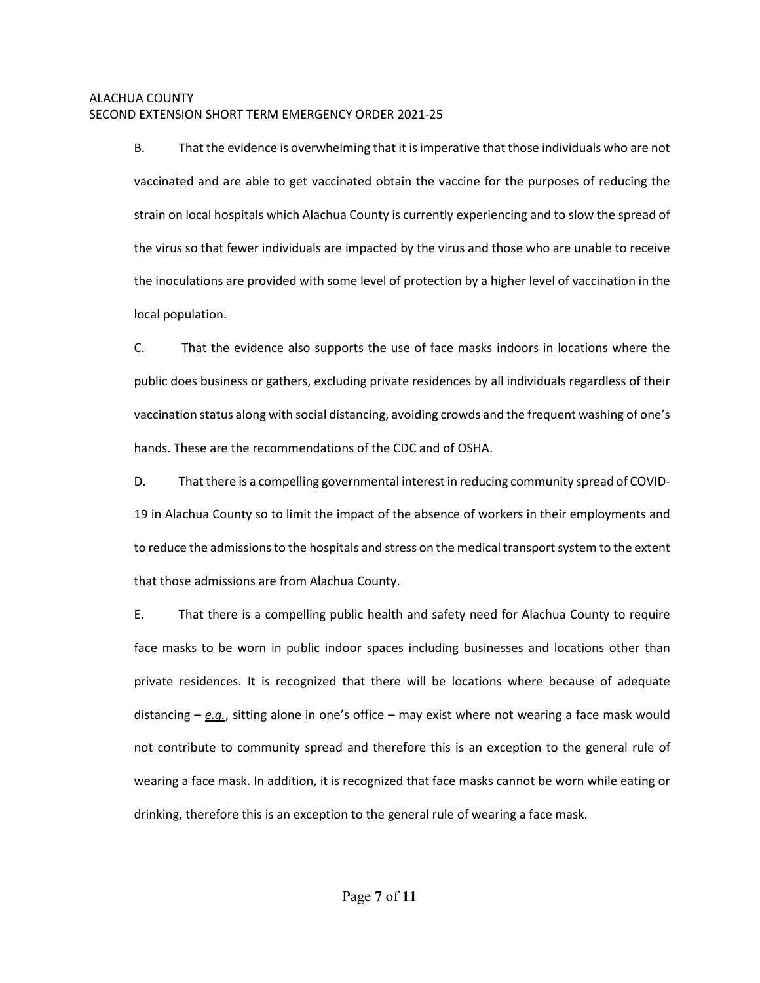B. That the evidence is overwhelming that it is imperative that those individuals who are not vaccinated and are able to get vaccinated obtain the vaccine for the purposes of reducing the strain on local hospitals which Alachua County is currently experiencing and to slow the spread of the virus so that fewer individuals are impacted by the virus and those who are unable to receive the inoculations are provided with some level of protection by a higher level of vaccination in the local population.

C. That the evidence also supports the use of face masks indoors in locations where the public does business or gathers, excluding private residences by all individuals regardless of their vaccination status along with social distancing, avoiding crowds and the frequent washing of one's hands. These are the recommendations of the CDC and of OSHA.

D. That there is a compelling governmental interest in reducing community spread of COVID-19 in Alachua County so to limit the impact of the absence of workers in their employments and to reduce the admissions to the hospitals and stress on the medical transport system to the extent that those admissions are from Alachua County.

E. That there is a compelling public health and safety need for Alachua County to require face masks to be worn in public indoor spaces including businesses and locations other than private residences. It is recognized that there will be locations where because of adequate distancing – *e.g.*, sitting alone in one's office – may exist where not wearing a face mask would not contribute to community spread and therefore this is an exception to the general rule of wearing a face mask. In addition, it is recognized that face masks cannot be worn while eating or drinking, therefore this is an exception to the general rule of wearing a face mask.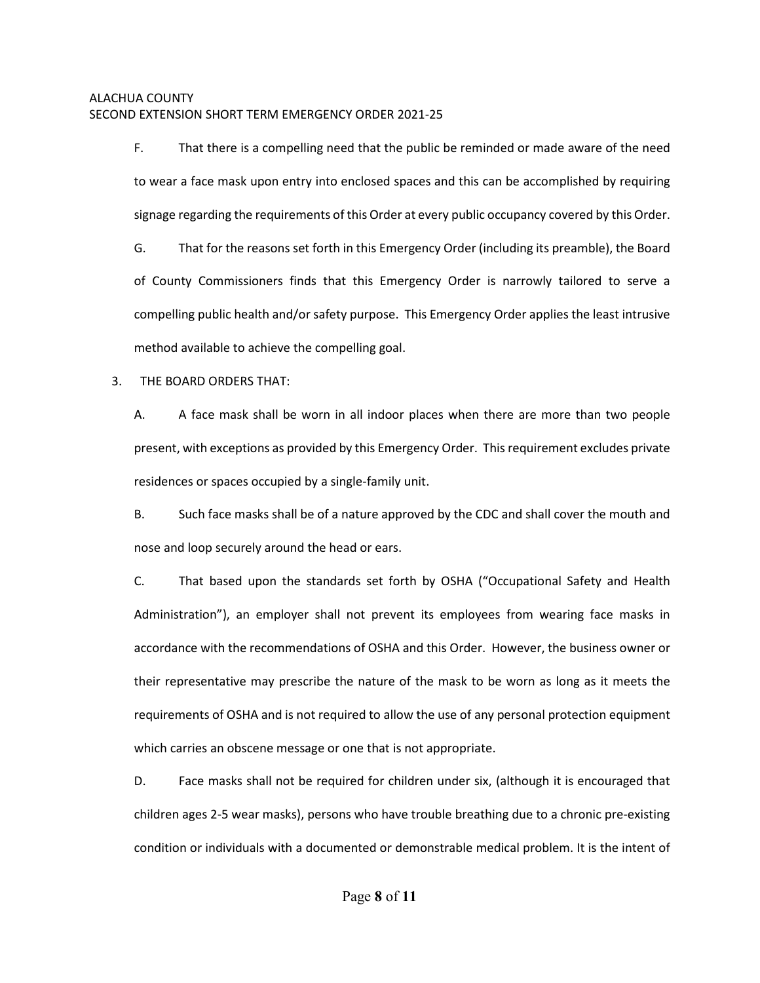F. That there is a compelling need that the public be reminded or made aware of the need to wear a face mask upon entry into enclosed spaces and this can be accomplished by requiring signage regarding the requirements of this Order at every public occupancy covered by this Order.

G. That for the reasons set forth in this Emergency Order (including its preamble), the Board of County Commissioners finds that this Emergency Order is narrowly tailored to serve a compelling public health and/or safety purpose. This Emergency Order applies the least intrusive method available to achieve the compelling goal.

3. THE BOARD ORDERS THAT:

A. A face mask shall be worn in all indoor places when there are more than two people present, with exceptions as provided by this Emergency Order. Thisrequirement excludes private residences or spaces occupied by a single-family unit.

B. Such face masks shall be of a nature approved by the CDC and shall cover the mouth and nose and loop securely around the head or ears.

C. That based upon the standards set forth by OSHA ("Occupational Safety and Health Administration"), an employer shall not prevent its employees from wearing face masks in accordance with the recommendations of OSHA and this Order. However, the business owner or their representative may prescribe the nature of the mask to be worn as long as it meets the requirements of OSHA and is not required to allow the use of any personal protection equipment which carries an obscene message or one that is not appropriate.

D. Face masks shall not be required for children under six, (although it is encouraged that children ages 2-5 wear masks), persons who have trouble breathing due to a chronic pre-existing condition or individuals with a documented or demonstrable medical problem. It is the intent of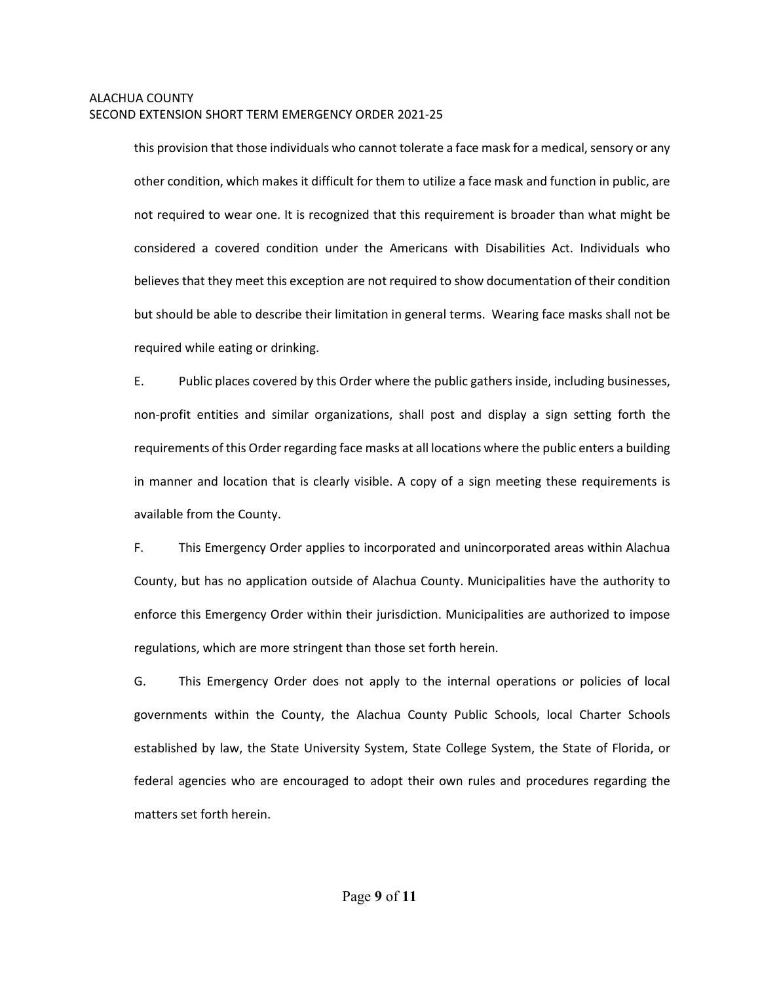this provision that those individuals who cannot tolerate a face mask for a medical, sensory or any other condition, which makes it difficult for them to utilize a face mask and function in public, are not required to wear one. It is recognized that this requirement is broader than what might be considered a covered condition under the Americans with Disabilities Act. Individuals who believes that they meet this exception are not required to show documentation of their condition but should be able to describe their limitation in general terms. Wearing face masks shall not be required while eating or drinking.

E. Public places covered by this Order where the public gathers inside, including businesses, non-profit entities and similar organizations, shall post and display a sign setting forth the requirements of this Order regarding face masks at all locations where the public enters a building in manner and location that is clearly visible. A copy of a sign meeting these requirements is available from the County.

F. This Emergency Order applies to incorporated and unincorporated areas within Alachua County, but has no application outside of Alachua County. Municipalities have the authority to enforce this Emergency Order within their jurisdiction. Municipalities are authorized to impose regulations, which are more stringent than those set forth herein.

G. This Emergency Order does not apply to the internal operations or policies of local governments within the County, the Alachua County Public Schools, local Charter Schools established by law, the State University System, State College System, the State of Florida, or federal agencies who are encouraged to adopt their own rules and procedures regarding the matters set forth herein.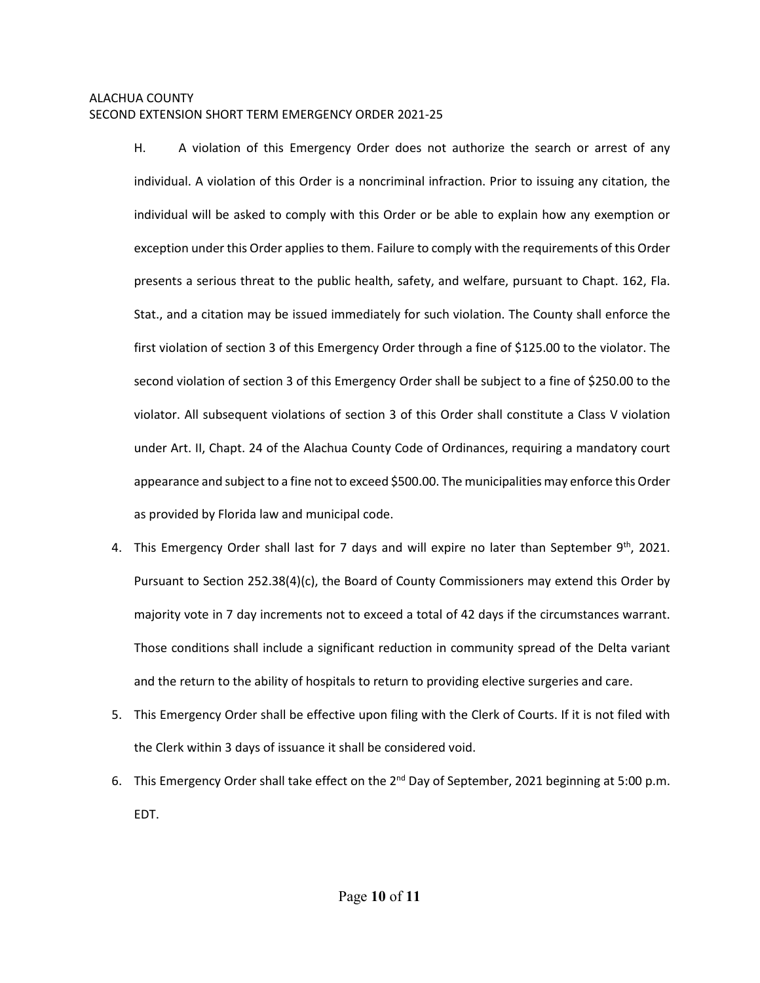H. A violation of this Emergency Order does not authorize the search or arrest of any individual. A violation of this Order is a noncriminal infraction. Prior to issuing any citation, the individual will be asked to comply with this Order or be able to explain how any exemption or exception under this Order applies to them. Failure to comply with the requirements of this Order presents a serious threat to the public health, safety, and welfare, pursuant to Chapt. 162, Fla. Stat., and a citation may be issued immediately for such violation. The County shall enforce the first violation of section 3 of this Emergency Order through a fine of \$125.00 to the violator. The second violation of section 3 of this Emergency Order shall be subject to a fine of \$250.00 to the violator. All subsequent violations of section 3 of this Order shall constitute a Class V violation under Art. II, Chapt. 24 of the Alachua County Code of Ordinances, requiring a mandatory court appearance and subject to a fine not to exceed \$500.00. The municipalities may enforce this Order as provided by Florida law and municipal code.

- 4. This Emergency Order shall last for 7 days and will expire no later than September  $9<sup>th</sup>$ , 2021. Pursuant to Section 252.38(4)(c), the Board of County Commissioners may extend this Order by majority vote in 7 day increments not to exceed a total of 42 days if the circumstances warrant. Those conditions shall include a significant reduction in community spread of the Delta variant and the return to the ability of hospitals to return to providing elective surgeries and care.
- 5. This Emergency Order shall be effective upon filing with the Clerk of Courts. If it is not filed with the Clerk within 3 days of issuance it shall be considered void.
- 6. This Emergency Order shall take effect on the  $2^{nd}$  Day of September, 2021 beginning at 5:00 p.m. EDT.